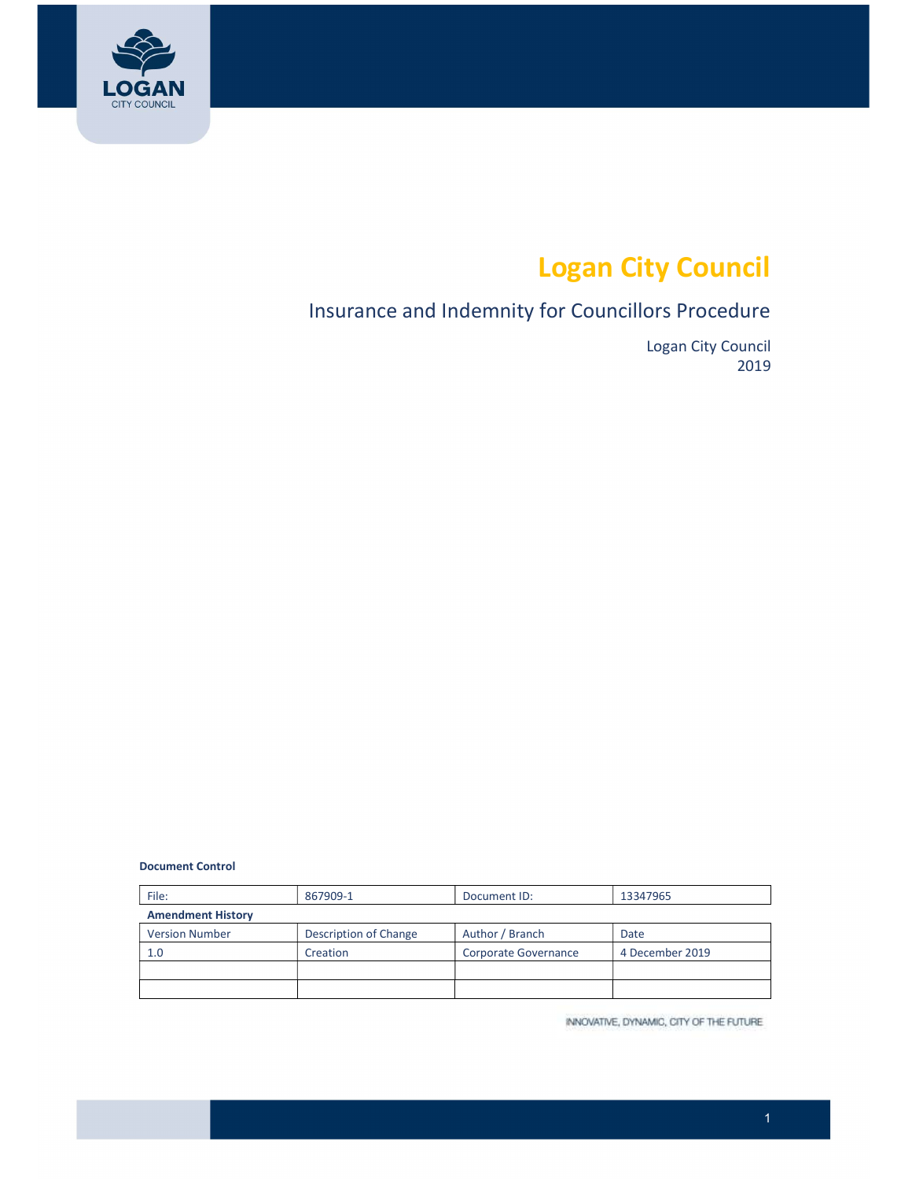

# Logan City Council

### Insurance and Indemnity for Councillors Procedure

Logan City Council 2019

Document Control

| File:                    | 867909-1              | Document ID:         | 13347965        |  |
|--------------------------|-----------------------|----------------------|-----------------|--|
| <b>Amendment History</b> |                       |                      |                 |  |
| <b>Version Number</b>    | Description of Change | Author / Branch      | Date            |  |
| 1.0                      | Creation              | Corporate Governance | 4 December 2019 |  |
|                          |                       |                      |                 |  |
|                          |                       |                      |                 |  |

INNOVATIVE, DYNAMIC, CITY OF THE FUTURE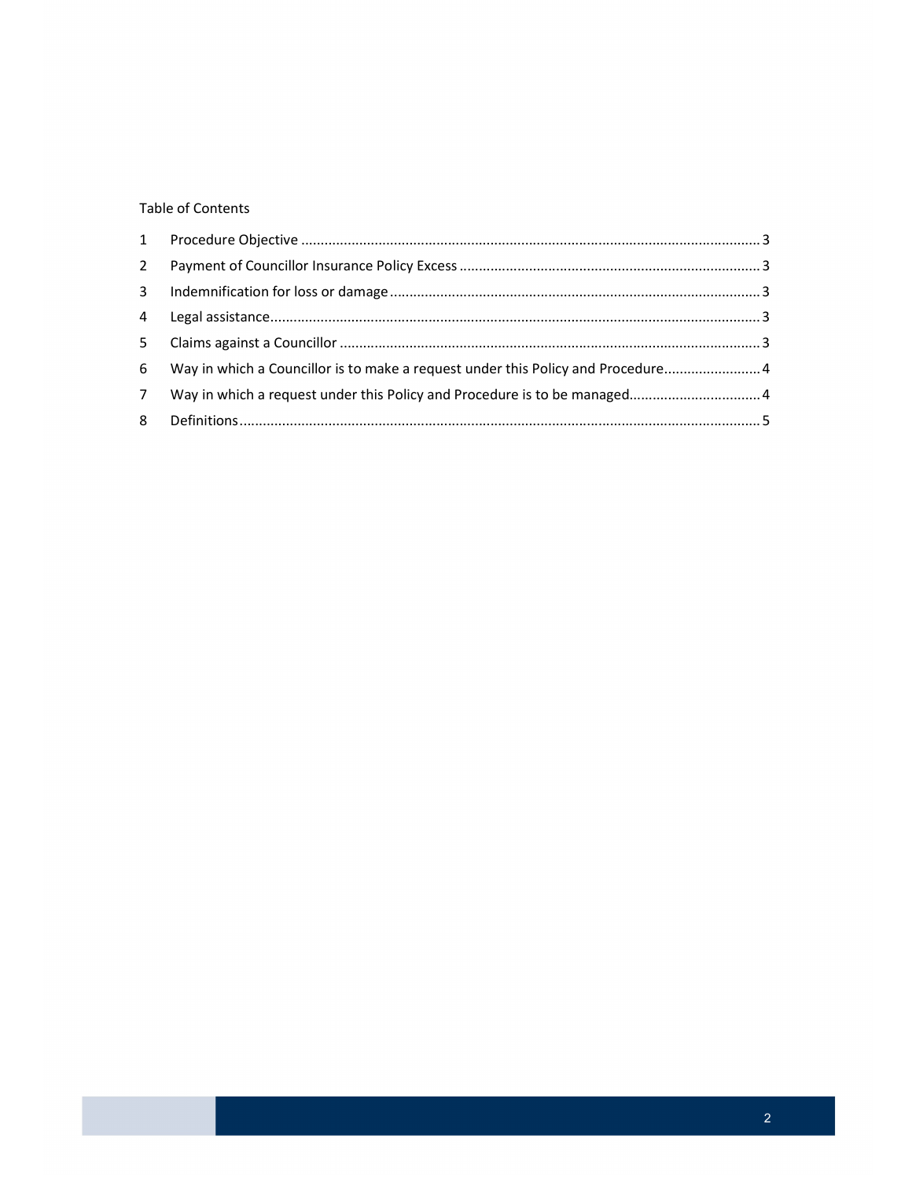#### **Table of Contents**

| $2^{\circ}$ |                                                                                  |  |
|-------------|----------------------------------------------------------------------------------|--|
|             |                                                                                  |  |
|             |                                                                                  |  |
| $5 -$       |                                                                                  |  |
|             | 6 Way in which a Councillor is to make a request under this Policy and Procedure |  |
| $7^{\circ}$ |                                                                                  |  |
|             |                                                                                  |  |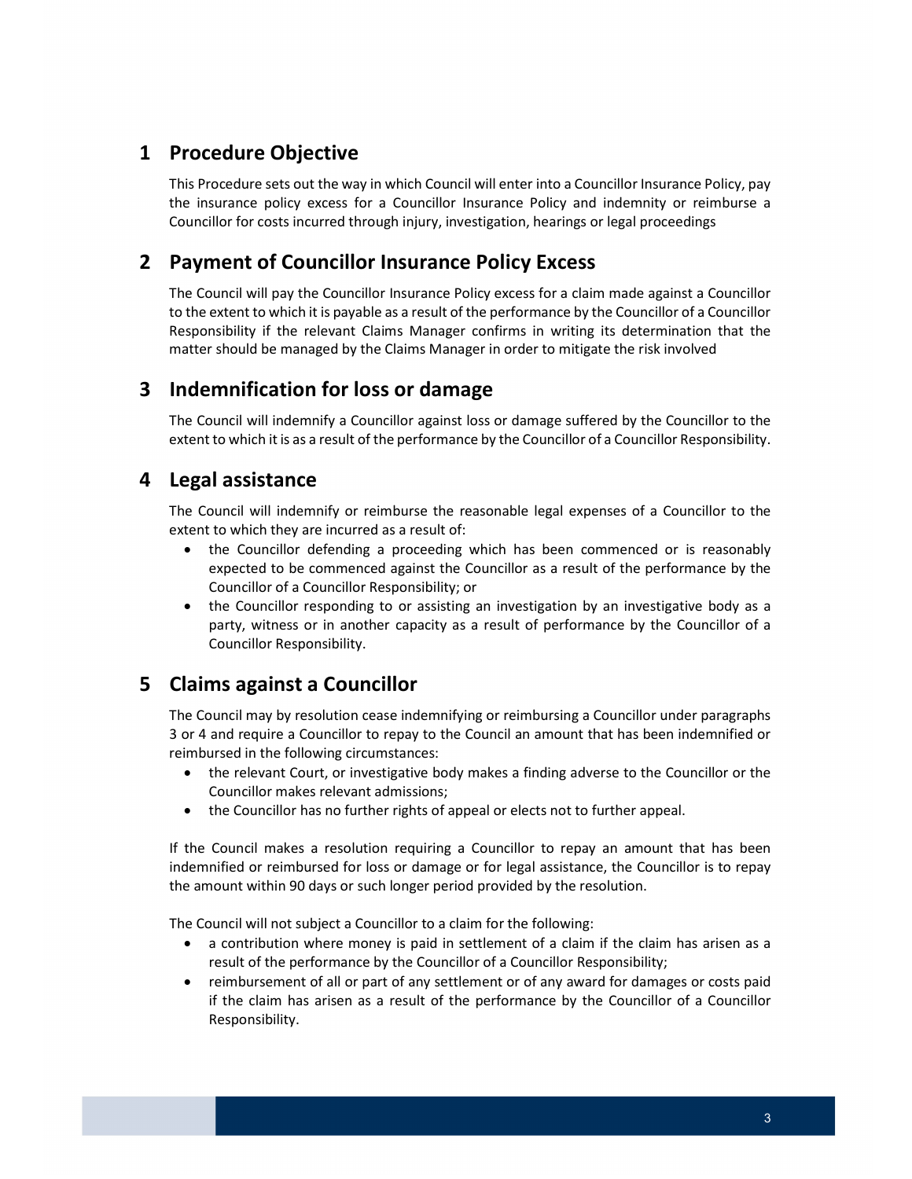#### <span id="page-2-0"></span>1 Procedure Objective

 This Procedure sets out the way in which Council will enter into a Councillor Insurance Policy, pay the insurance policy excess for a Councillor Insurance Policy and indemnity or reimburse a Councillor for costs incurred through injury, investigation, hearings or legal proceedings

#### 2 Payment of Councillor Insurance Policy Excess

 The Council will pay the Councillor Insurance Policy excess for a claim made against a Councillor to the extent to which it is payable as a result of the performance by the Councillor of a Councillor Responsibility if the relevant Claims Manager confirms in writing its determination that the matter should be managed by the Claims Manager in order to mitigate the risk involved

#### 3 Indemnification for loss or damage

 The Council will indemnify a Councillor against loss or damage suffered by the Councillor to the extent to which it is as a result of the performance by the Councillor of a Councillor Responsibility.

#### 4 Legal assistance

 The Council will indemnify or reimburse the reasonable legal expenses of a Councillor to the extent to which they are incurred as a result of:

- the Councillor defending a proceeding which has been commenced or is reasonably expected to be commenced against the Councillor as a result of the performance by the Councillor of a Councillor Responsibility; or
- the Councillor responding to or assisting an investigation by an investigative body as a party, witness or in another capacity as a result of performance by the Councillor of a Councillor Responsibility.

#### 5 Claims against a Councillor

 The Council may by resolution cease indemnifying or reimbursing a Councillor under paragraphs 3 or 4 and require a Councillor to repay to the Council an amount that has been indemnified or reimbursed in the following circumstances:

- the relevant Court, or investigative body makes a finding adverse to the Councillor or the Councillor makes relevant admissions;
- the Councillor has no further rights of appeal or elects not to further appeal.

 If the Council makes a resolution requiring a Councillor to repay an amount that has been indemnified or reimbursed for loss or damage or for legal assistance, the Councillor is to repay the amount within 90 days or such longer period provided by the resolution.

The Council will not subject a Councillor to a claim for the following:

- a contribution where money is paid in settlement of a claim if the claim has arisen as a result of the performance by the Councillor of a Councillor Responsibility;
- reimbursement of all or part of any settlement or of any award for damages or costs paid if the claim has arisen as a result of the performance by the Councillor of a Councillor Responsibility.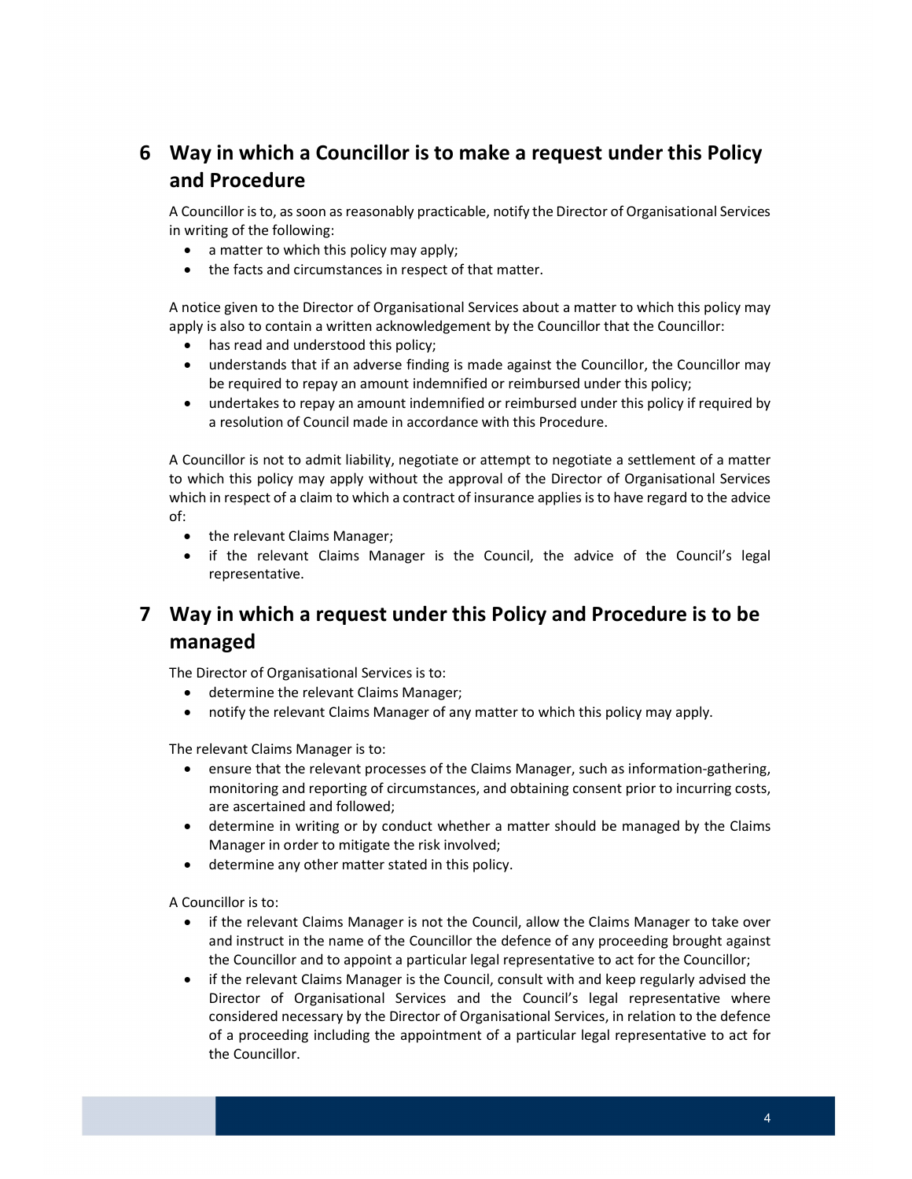## <span id="page-3-0"></span> 6 Way in which a Councillor is to make a request under this Policy and Procedure

A Councillor is to, as soon as reasonably practicable, notify the Director of Organisational Services in writing of the following:

- a matter to which this policy may apply;
- the facts and circumstances in respect of that matter.

 A notice given to the Director of Organisational Services about a matter to which this policy may apply is also to contain a written acknowledgement by the Councillor that the Councillor:

- has read and understood this policy;
- understands that if an adverse finding is made against the Councillor, the Councillor may be required to repay an amount indemnified or reimbursed under this policy;
- undertakes to repay an amount indemnified or reimbursed under this policy if required by a resolution of Council made in accordance with this Procedure.

 A Councillor is not to admit liability, negotiate or attempt to negotiate a settlement of a matter to which this policy may apply without the approval of the Director of Organisational Services which in respect of a claim to which a contract of insurance applies isto have regard to the advice of:

- the relevant Claims Manager;
- if the relevant Claims Manager is the Council, the advice of the Council's legal representative.

### 7 Way in which a request under this Policy and Procedure is to be managed

The Director of Organisational Services is to:

- determine the relevant Claims Manager;
- notify the relevant Claims Manager of any matter to which this policy may apply.

The relevant Claims Manager is to:

- ensure that the relevant processes of the Claims Manager, such as information-gathering, monitoring and reporting of circumstances, and obtaining consent prior to incurring costs, are ascertained and followed;
- determine in writing or by conduct whether a matter should be managed by the Claims Manager in order to mitigate the risk involved;
- determine any other matter stated in this policy.

A Councillor is to:

- if the relevant Claims Manager is not the Council, allow the Claims Manager to take over and instruct in the name of the Councillor the defence of any proceeding brought against the Councillor and to appoint a particular legal representative to act for the Councillor;
- if the relevant Claims Manager is the Council, consult with and keep regularly advised the Director of Organisational Services and the Council's legal representative where considered necessary by the Director of Organisational Services, in relation to the defence of a proceeding including the appointment of a particular legal representative to act for the Councillor.